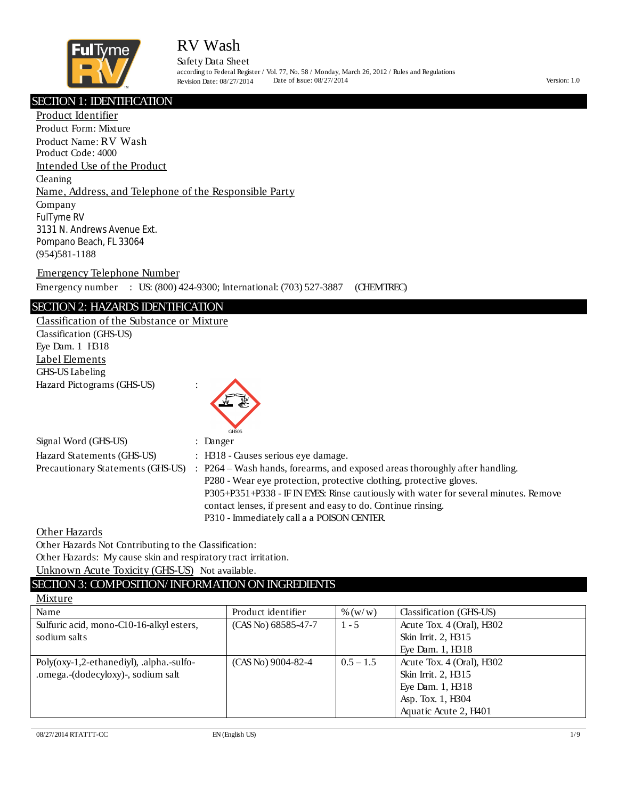

Safety Data Sheet according to Federal Register / Vol. 77, No. 58 / Monday, March 26, 2012 / Rules and Regulations Revision Date: 08/27/2014 Date of Issue: 08/27/2014 Version: 1.0

#### ׇ֬֕ SECTION 1: IDENTIFICATION

Product Identifier Product Form: Mixture Product Name: RV Wash Product Code: 4000 Intended Use of the Product **Cleaning** Name, Address, and Telephone of the Responsible Party Company FulTyme RV 3131 N. Andrews Avenue Ext. Pompano Beach, FL 33064 (954)581-1188

Emergency Telephone Number

Emergency number : US: (800) 424-9300; International: (703) 527-3887 (CHEMTREC)

#### SECTION 2: HAZARDS IDENTIFICATION

Classification of the Substance or Mixture Classification (GHS-US) Eye Dam. 1 H318 Label Elements GHS-US Labeling Hazard Pictograms (GHS-US) :



| Signal Word (GHS-US)              | : Danger                                                                             |
|-----------------------------------|--------------------------------------------------------------------------------------|
| Hazard Statements (GHS-US)        | $\therefore$ H318 - Causes serious eve damage.                                       |
| Precautionary Statements (GHS-US) | : P264 – Wash hands, forearms, and exposed areas thoroughly after handling.          |
|                                   | P280 - Wear eye protection, protective clothing, protective gloves.                  |
|                                   | P305+P351+P338 - IF IN EYES: Rinse cautiously with water for several minutes. Remove |
|                                   | contact lenses, if present and easy to do. Continue rinsing.                         |
|                                   | P310 - Immediately call a a POISON CENTER.                                           |

Other Hazards

Other Hazards Not Contributing to the Classification:

Other Hazards: My cause skin and respiratory tract irritation.

Unknown Acute Toxicity (GHS-US) Not available.

### SECTION 3: COMPOSITION/ INFORMATION ON INGREDIENTS

### Mixture

| Name                                     | Product identifier    | % (w/w)     | Classification (GHS-US)   |
|------------------------------------------|-----------------------|-------------|---------------------------|
| Sulfuric acid, mono-C10-16-alkyl esters, | $(CAS No) 68585-47-7$ | $1 - 5$     | Acute Tox. 4 (Oral), H302 |
| sodium salts                             |                       |             | Skin Irrit. 2, H315       |
|                                          |                       |             | Eye Dam. 1, H318          |
| Poly(oxy-1,2-ethanediyl), .alpha.-sulfo- | $(CAS No)$ 9004-82-4  | $0.5 - 1.5$ | Acute Tox. 4 (Oral), H302 |
| .omega.-(dodecyloxy)-, sodium salt       |                       |             | Skin Irrit. 2, H315       |
|                                          |                       |             | Eye Dam. 1, H318          |
|                                          |                       |             | Asp. Tox. 1, H304         |
|                                          |                       |             | Aquatic Acute 2, H401     |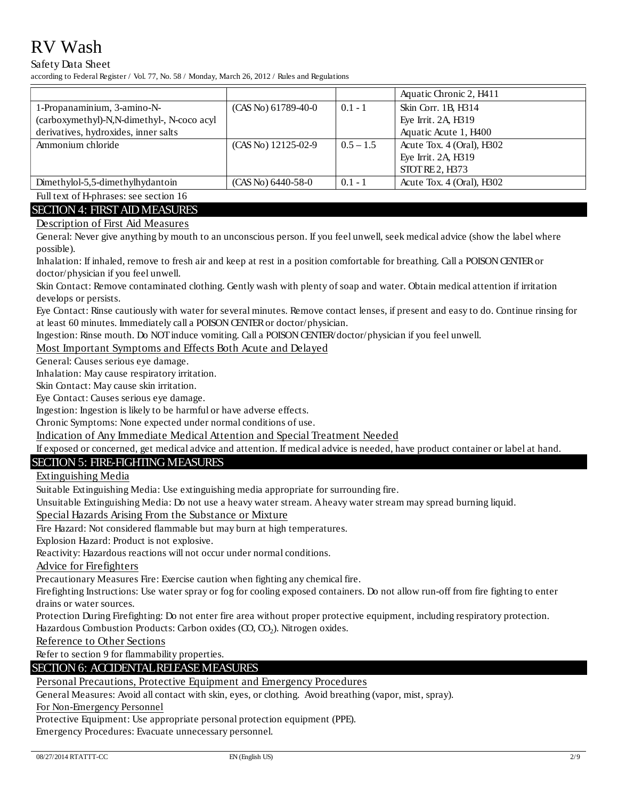#### Safety Data Sheet

according to Federal Register / Vol. 77, No. 58 / Monday, March 26, 2012 / Rules and Regulations

|                                                                                                                                                                                                                                                                                                                                           |                       |             | Aquatic Chronic 2, H411     |
|-------------------------------------------------------------------------------------------------------------------------------------------------------------------------------------------------------------------------------------------------------------------------------------------------------------------------------------------|-----------------------|-------------|-----------------------------|
| 1-Propanaminium, 3-amino-N-                                                                                                                                                                                                                                                                                                               | $(CAS No)$ 61789-40-0 | $0.1 - 1$   | Skin Corr. 1B, H314         |
| (carboxymethyl)-N,N-dimethyl-, N-coco acyl                                                                                                                                                                                                                                                                                                |                       |             | Eye Irrit. 2A, H319         |
| derivatives, hydroxides, inner salts                                                                                                                                                                                                                                                                                                      |                       |             | Aquatic Acute 1, H400       |
| Ammonium chloride                                                                                                                                                                                                                                                                                                                         | (CAS No) 12125-02-9   | $0.5 - 1.5$ | Acute Tox. 4 (Oral), H302   |
|                                                                                                                                                                                                                                                                                                                                           |                       |             | Eye Irrit. 2A, H319         |
|                                                                                                                                                                                                                                                                                                                                           |                       |             | <b>STOT RE 2. H373</b>      |
| Dimethylol-5,5-dimethylhydantoin                                                                                                                                                                                                                                                                                                          | $(CAS No) 6440-58-0$  | $0.1 - 1$   | Acute Tox. $4$ (Oral), H302 |
| $\mathbf{r}$ , $\mathbf{r}$ , $\mathbf{r}$ , $\mathbf{r}$ , $\mathbf{r}$ , $\mathbf{r}$ , $\mathbf{r}$ , $\mathbf{r}$ , $\mathbf{r}$ , $\mathbf{r}$ , $\mathbf{r}$ , $\mathbf{r}$ , $\mathbf{r}$ , $\mathbf{r}$ , $\mathbf{r}$ , $\mathbf{r}$ , $\mathbf{r}$ , $\mathbf{r}$ , $\mathbf{r}$ , $\mathbf{r}$ , $\mathbf{r}$ , $\mathbf{r}$ , |                       |             |                             |

Full text of H-phrases: see section 16 **SECTION 4: FIRST AID MEASURES** 

### Description of First Aid Measures

General: Never give anything by mouth to an unconscious person. If you feel unwell, seek medical advice (show the label where possible).

Inhalation: If inhaled, remove to fresh air and keep at rest in a position comfortable for breathing. Call a POISON CENTER or doctor/physician if you feel unwell.

Skin Contact: Remove contaminated clothing. Gently wash with plenty of soap and water. Obtain medical attention if irritation develops or persists.

Eye Contact: Rinse cautiously with water for several minutes. Remove contact lenses, if present and easy to do. Continue rinsing for at least 60 minutes. Immediately call a POISON CENTER or doctor/physician.

Ingestion: Rinse mouth. Do NOT induce vomiting. Call a POISON CENTER/doctor/physician if you feel unwell.

Most Important Symptoms and Effects Both Acute and Delayed

General: Causes serious eye damage.

Inhalation: May cause respiratory irritation.

Skin Contact: May cause skin irritation.

Eye Contact: Causes serious eye damage.

Ingestion: Ingestion is likely to be harmful or have adverse effects.

Chronic Symptoms: None expected under normal conditions of use.

Indication of Any Immediate Medical Attention and Special Treatment Needed

If exposed or concerned, get medical advice and attention. If medical advice is needed, have product container or label at hand.

#### **SECTION 5: FIRE-FIGHTING MEASURES**

**Extinguishing Media** 

Suitable Extinguishing Media: Use extinguishing media appropriate for surrounding fire.

Unsuitable Extinguishing Media: Do not use a heavy water stream. Aheavy water stream may spread burning liquid.

Special Hazards Arising From the Substance or Mixture

Fire Hazard: Not considered flammable but may burn at high temperatures.

Explosion Hazard: Product is not explosive.

Reactivity: Hazardous reactions will not occur under normal conditions.

**Advice for Firefighters** 

Precautionary Measures Fire: Exercise caution when fighting any chemical fire.

Firefighting Instructions: Use water spray or fog for cooling exposed containers. Do not allow run-off from fire fighting to enter drains or water sources.

Protection During Firefighting: Do not enter fire area without proper protective equipment, including respiratory protection. Hazardous Combustion Products: Carbon oxides (CO, CO<sub>2</sub>). Nitrogen oxides.

Reference to Other Sections

Refer to section 9 for flammability properties.

#### **SECTION 6: ACCIDENTAL RELEASE MEASURES**

### Personal Precautions, Protective Equipment and Emergency Procedures

General Measures: Avoid all contact with skin, eyes, or clothing. Avoid breathing (vapor, mist, spray).

For Non-Emergency Personnel

Protective Equipment: Use appropriate personal protection equipment (PPE).

Emergency Procedures: Evacuate unnecessary personnel.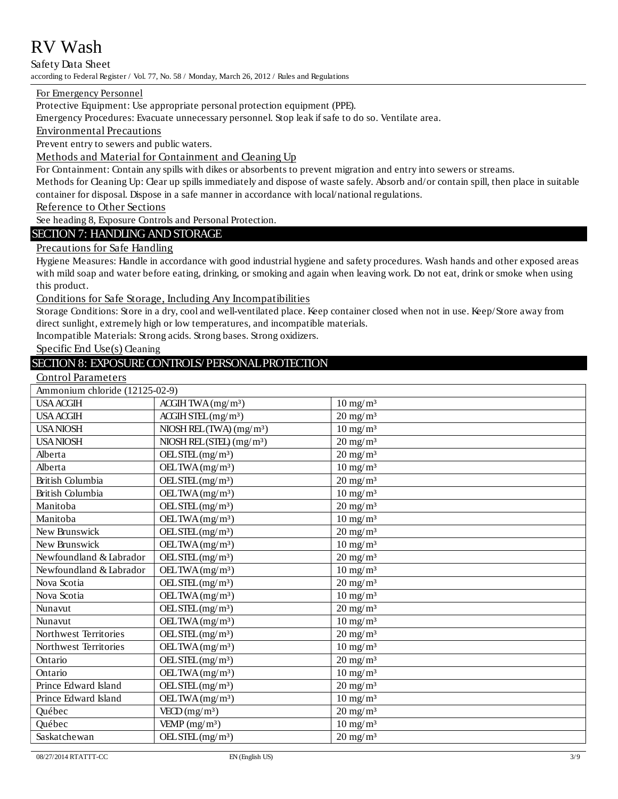Safety Data Sheet according to Federal Register / Vol. 77, No. 58 / Monday, March 26, 2012 / Rules and Regulations

#### For Emergency Personnel

Protective Equipment: Use appropriate personal protection equipment (PPE).

Emergency Procedures: Evacuate unnecessary personnel. Stop leak if safe to do so. Ventilate area.

**Environmental Precautions** 

Prevent entry to sewers and public waters.

Methods and Material for Containment and Cleaning Up

For Containment: Contain any spills with dikes or absorbents to prevent migration and entry into sewers or streams.

Methods for Cleaning Up: Clear up spills immediately and dispose of waste safely. Absorb and/or contain spill, then place in suitable container for disposal. Dispose in a safe manner in accordance with local/national regulations.

Reference to Other Sections

See heading 8, Exposure Controls and Personal Protection.

### **SECTION 7: HANDLING AND STORAGE**

### Precautions for Safe Handling

Hygiene Measures: Handle in accordance with good industrial hygiene and safety procedures. Wash hands and other exposed areas with mild soap and water before eating, drinking, or smoking and again when leaving work. Do not eat, drink or smoke when using this product.

#### Conditions for Safe Storage, Including Any Incompatibilities

Storage Conditions: Store in a dry, cool and well-ventilated place. Keep container closed when not in use. Keep/Store away from direct sunlight, extremely high or low temperatures, and incompatible materials.

Incompatible Materials: Strong acids. Strong bases. Strong oxidizers.

Specific End Use $(s)$  Cleaning

### SECTION 8: EXPOSURE CONTROLS/ PERSONAL PROTECTION

| <b>Control Parameters</b> |
|---------------------------|
|---------------------------|

| Ammonium chloride (12125-02-9) |                                                 |                        |  |  |
|--------------------------------|-------------------------------------------------|------------------------|--|--|
| <b>USA ACGIH</b>               | ACCHH TWA (mg/m <sup>3</sup> )                  | $10 \text{ mg/m}^3$    |  |  |
| <b>USA ACGIH</b>               | $ACCHH$ $STFL(mg/m3)$                           | $20 \text{ mg/m}^3$    |  |  |
| <b>USANIOSH</b>                | NIOSH REL(TWA) (mg/m <sup>3</sup> )             | $10 \text{ mg/m}^3$    |  |  |
| <b>USANIOSH</b>                | NIOSH REL(STEL) (mg/m <sup>3</sup> )            | $20 \text{ mg/m}^3$    |  |  |
| Alberta                        | $OEL$ STEL (mg/m <sup>3</sup> )                 | $20 \text{ mg/m}^3$    |  |  |
| Alberta                        | OELTWA (mg/m <sup>3</sup> )                     | $10 \text{ mg/m}^3$    |  |  |
| <b>British Columbia</b>        | $\overline{\text{OELSTEL}(mg/m^3)}$             | $20$ mg/m <sup>3</sup> |  |  |
| British Columbia               | OELTWA $(mg/m3)$                                | $10 \text{ mg/m}^3$    |  |  |
| Manitoba                       | $OEL$ STEL $(mg/m3)$                            | $20 \text{ mg/m}^3$    |  |  |
| Manitoba                       | OELTWA $(mg/m3)$                                | $10$ mg/m <sup>3</sup> |  |  |
| New Brunswick                  | $OEL$ STEL $(mg/m3)$                            | $20 \text{ mg/m}^3$    |  |  |
| New Brunswick                  | OELTWA $(mg/m3)$                                | $10 \text{ mg/m}^3$    |  |  |
| Newfoundland & Labrador        | $OEL$ STEL $(mg/m3)$                            | $20$ mg/m <sup>3</sup> |  |  |
| Newfoundland & Labrador        | OELTWA $(mg/m3)$                                | $10 \text{ mg/m}^3$    |  |  |
| Nova Scotia                    | $OEL$ STEL (mg/m <sup>3</sup> )                 | $20$ mg/m <sup>3</sup> |  |  |
| Nova Scotia                    | OELTWA $(mg/m3)$                                | $10 \text{ mg/m}^3$    |  |  |
| Nunavut                        | $OEL$ STEL (mg/m <sup>3</sup> )                 | $20 \text{ mg/m}^3$    |  |  |
| Nunavut                        | OELTWA $(mg/m3)$                                | $10 \text{ mg/m}^3$    |  |  |
| Northwest Territories          | $OEL$ STEL (mg/m <sup>3</sup> )                 | $20 \text{ mg/m}^3$    |  |  |
| Northwest Territories          | OELTWA $(mg/m3)$                                | $10 \text{ mg/m}^3$    |  |  |
| Ontario                        | $OEL$ STEL (mg/m <sup>3</sup> )                 | $20$ mg/m <sup>3</sup> |  |  |
| Ontario                        | OELTWA $(mg/m3)$                                | $10$ mg/m <sup>3</sup> |  |  |
| Prince Edward Island           | $OEL$ STEL $(mg/m3)$                            | $20 \text{ mg/m}^3$    |  |  |
| Prince Edward Island           | $\overline{\text{OELTWA}}$ (mg/m <sup>3</sup> ) | $10 \text{ mg/m}^3$    |  |  |
| Québec                         | VECD (mg/m <sup>3</sup> )                       | $20$ mg/m <sup>3</sup> |  |  |
| Québec                         | VEMP $(mg/m3)$                                  | $10 \text{ mg/m}^3$    |  |  |
| Saskatchewan                   | OELSTEL(mg/m <sup>3</sup> )                     | $20$ mg/m <sup>3</sup> |  |  |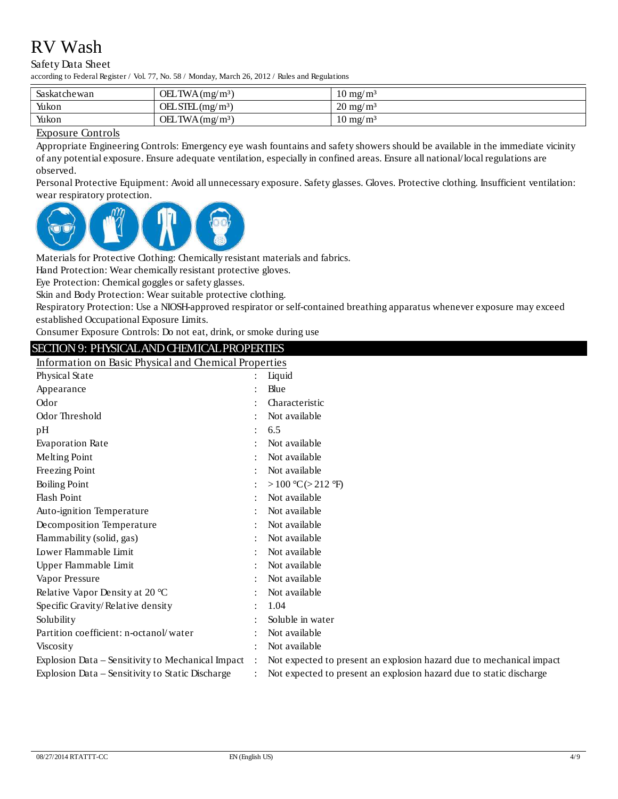#### Safety Data Sheet

according to Federal Register / Vol. 77, No. 58 / Monday, March 26, 2012 / Rules and Regulations

| Saskatchewan | OELTWA(mg/m <sup>3</sup> )      | $10 \text{ mg}/\text{m}^3$ |
|--------------|---------------------------------|----------------------------|
| Yukon        | $OEL$ STEL (mg/m <sup>3</sup> ) | $20 \text{ mg/m}^3$        |
| Yukon        | OELTWA(mg/m <sup>3</sup> )      | $10 \text{ mg}/\text{m}^3$ |

#### **Exposure Controls**

Appropriate Engineering Controls: Emergency eye wash fountains and safety showers should be available in the immediate vicinity of any potential exposure. Ensure adequate ventilation, especially in confined areas. Ensure all national/local regulations are observed.

Personal Protective Equipment: Avoid all unnecessary exposure. Safety glasses. Gloves. Protective clothing. Insufficient ventilation: wear respiratory protection.



Materials for Protective Clothing: Chemically resistant materials and fabrics.

Hand Protection: Wear chemically resistant protective gloves.

Eye Protection: Chemical goggles or safety glasses.

Skin and Body Protection: Wear suitable protective clothing.

Respiratory Protection: Use a NIOSH-approved respirator or self-contained breathing apparatus whenever exposure may exceed established Occupational Exposure Limits.

Consumer Exposure Controls: Do not eat, drink, or smoke during use

### SECTION 9: PHYSICAL AND CHEMICAL PROPERTIES

Information on Basic Physical and Chemical Properties

| Physical State                                    |                | Liquid                                                               |
|---------------------------------------------------|----------------|----------------------------------------------------------------------|
| Appearance                                        |                | Blue                                                                 |
| Odor                                              |                | Characteristic                                                       |
| Odor Threshold                                    |                | Not available                                                        |
| pH                                                | ÷.             | 6.5                                                                  |
| <b>Evaporation Rate</b>                           |                | Not available                                                        |
| Melting Point                                     |                | Not available                                                        |
| Freezing Point                                    |                | Not available                                                        |
| <b>Boiling Point</b>                              |                | >100 °C(>212 °F)                                                     |
| <b>Flash Point</b>                                |                | Not available                                                        |
| Auto-ignition Temperature                         |                | Not available                                                        |
| Decomposition Temperature                         |                | Not available                                                        |
| Flammability (solid, gas)                         |                | Not available                                                        |
| Lower Flammable Limit                             |                | Not available                                                        |
| Upper Flammable Limit                             |                | Not available                                                        |
| Vapor Pressure                                    |                | Not available                                                        |
| Relative Vapor Density at 20 °C                   |                | Not available                                                        |
| Specific Gravity/Relative density                 |                | 1.04                                                                 |
| Solubility                                        |                | Soluble in water                                                     |
| Partition coefficient: n-octanol/water            |                | Not available                                                        |
| <b>Viscosity</b>                                  |                | Not available                                                        |
| Explosion Data – Sensitivity to Mechanical Impact | $\ddot{\cdot}$ | Not expected to present an explosion hazard due to mechanical impact |
| Explosion Data – Sensitivity to Static Discharge  |                | Not expected to present an explosion hazard due to static discharge  |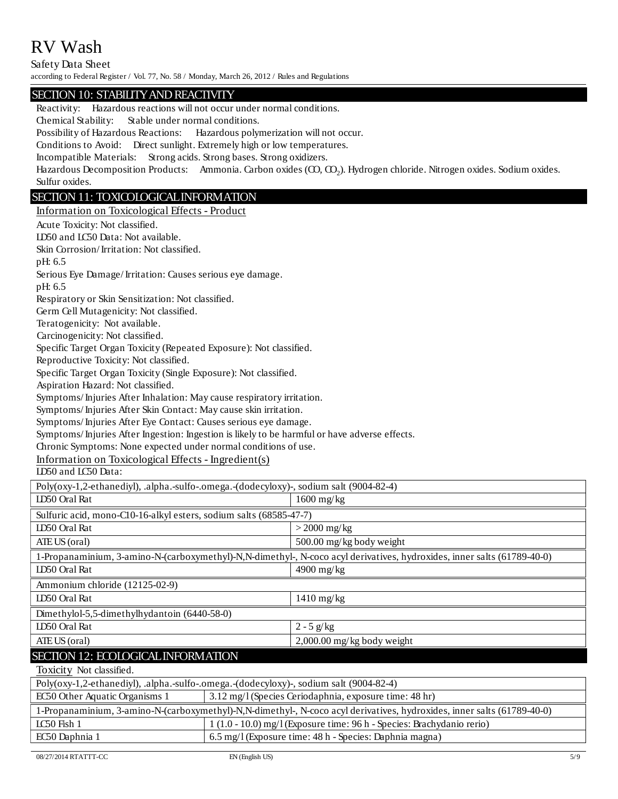Safety Data Sheet

according to Federal Register / Vol. 77, No. 58 / Monday, March 26, 2012 / Rules and Regulations

### SECTION 10: STABILITY AND REACTIVITY

EC50 Other Aquatic Organisms 1 3.12 mg/l (Species Ceriodaphnia, exposure time: 48 hr) IC50 Fish 1 1 (1.0 - 10.0) mg/l (Exposure time: 96 h - Species: Brachydanio rerio) EC50 Daphnia 1 (6.5 mg/l (Exposure time: 48 h - Species: Daphnia magna) Reactivity: Hazardous reactions will not occur under normal conditions. Chemical Stability: Stable under normal conditions. Possibility of Hazardous Reactions: Hazardous polymerization will not occur. Conditions to Avoid: Direct sunlight. Extremely high or low temperatures. Incompatible Materials: Strong acids. Strong bases. Strong oxidizers. Hazardous Decomposition Products: Ammonia. Carbon oxides  $({\rm CO,~CO_2})$ . Hydrogen chloride. Nitrogen oxides. Sodium oxides. Sulfur oxides. SECTION 11: TOXICOLOGICAL INFORMATION Information on Toxicological Effects - Product Acute Toxicity: Not classified. LD50 and LC50 Data: Not available. Skin Corrosion/ Irritation: Not classified. pH: 6.5 Serious Eye Damage/ Irritation: Causes serious eye damage. pH: 6.5 Respiratory or Skin Sensitization: Not classified. Germ Cell Mutagenicity: Not classified. Teratogenicity: Not available. Carcinogenicity: Not classified. Specific Target Organ Toxicity (Repeated Exposure): Not classified. Reproductive Toxicity: Not classified. Specific Target Organ Toxicity (Single Exposure): Not classified. Aspiration Hazard: Not classified. Symptoms/ Injuries After Inhalation: May cause respiratory irritation. Symptoms/ Injuries After Skin Contact: May cause skin irritation. Symptoms/ Injuries After Eye Contact: Causes serious eye damage. Symptoms/ Injuries After Ingestion: Ingestion is likely to be harmful or have adverse effects. Chronic Symptoms: None expected under normal conditions of use. Information on Toxicological Effects - Ingredient(s) LD50 and LC50 Data: SECTION 12: ECOLOGICAL INFORMATION Toxicity Not classified. Poly(oxy-1,2-ethanediyl), .alpha.-sulfo-.omega.-(dodecyloxy)-, sodium salt (9004-82-4) LD50 Oral Rat 1600 mg/kg Sulfuric acid, mono-C10-16-alkyl esters, sodium salts (68585-47-7) LD50 Oral Rat > 2000 mg/kg ATE US (oral) 500.00 mg/kg body weight 1-Propanaminium, 3-amino-N-(carboxymethyl)-N,N-dimethyl-, N-coco acyl derivatives, hydroxides, inner salts (61789-40-0) LD50 Oral Rat 4900 mg/kg Ammonium chloride (12125-02-9) LD50 Oral Rat 1410 mg/kg Dimethylol-5,5-dimethylhydantoin (6440-58-0) LD50 Oral Rat  $\left|2-5 \frac{g}{kg}\right|$ ATE US (oral) 2,000.00 mg/kg body weight Poly(oxy-1,2-ethanediyl), .alpha.-sulfo-.omega.-(dodecyloxy)-, sodium salt (9004-82-4) 1-Propanaminium, 3-amino-N-(carboxymethyl)-N,N-dimethyl-, N-coco acyl derivatives, hydroxides, inner salts (61789-40-0)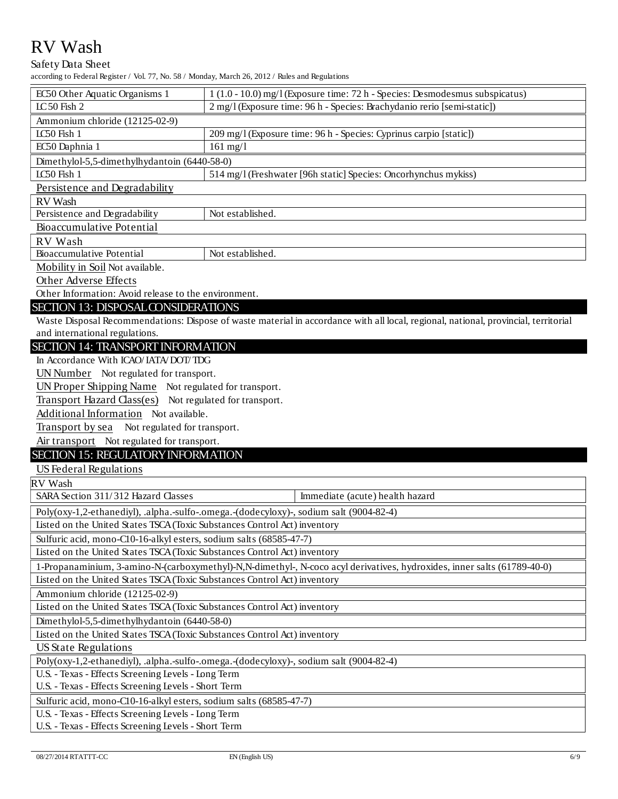#### Safety Data Sheet

according to Federal Register / Vol. 77, No. 58 / Monday, March 26, 2012 / Rules and Regulations

| according to Federal Register / Vol. 77, No. 58 / Monday, March 26, 2012 / Rules and Regulations                                    |                                                                               |  |  |  |
|-------------------------------------------------------------------------------------------------------------------------------------|-------------------------------------------------------------------------------|--|--|--|
| EC50 Other Aquatic Organisms 1                                                                                                      | $1(1.0 - 10.0)$ mg/l (Exposure time: 72 h - Species: Desmodesmus subspicatus) |  |  |  |
| LC50 Fish 2                                                                                                                         | 2 mg/l (Exposure time: 96 h - Species: Brachydanio rerio [semi-static])       |  |  |  |
| Ammonium chloride (12125-02-9)                                                                                                      |                                                                               |  |  |  |
| LC50 Fish 1                                                                                                                         | 209 mg/l (Exposure time: 96 h - Species: Cyprinus carpio [static])            |  |  |  |
| EC50 Daphnia 1                                                                                                                      | $161$ mg/l                                                                    |  |  |  |
| Dimethylol-5,5-dimethylhydantoin (6440-58-0)                                                                                        |                                                                               |  |  |  |
| LC50 Fish 1                                                                                                                         | 514 mg/l (Freshwater [96h static] Species: Oncorhynchus mykiss)               |  |  |  |
| Persistence and Degradability                                                                                                       |                                                                               |  |  |  |
| RV Wash                                                                                                                             |                                                                               |  |  |  |
| Persistence and Degradability                                                                                                       | Not established.                                                              |  |  |  |
| Bioaccumulative Potential                                                                                                           |                                                                               |  |  |  |
| RV Wash                                                                                                                             |                                                                               |  |  |  |
| Bioaccumulative Potential                                                                                                           | Not established.                                                              |  |  |  |
| Mobility in Soil Not available.                                                                                                     |                                                                               |  |  |  |
| Other Adverse Effects                                                                                                               |                                                                               |  |  |  |
| Other Information: Avoid release to the environment.                                                                                |                                                                               |  |  |  |
| SECTION 13: DISPOSAL CONSIDERATIONS                                                                                                 |                                                                               |  |  |  |
| Waste Disposal Recommendations: Dispose of waste material in accordance with all local, regional, national, provincial, territorial |                                                                               |  |  |  |
| and international regulations.                                                                                                      |                                                                               |  |  |  |
| <b>SECTION 14: TRANSPORT INFORMATION</b>                                                                                            |                                                                               |  |  |  |
| In Accordance With ICAO/ IATA/ DOT/ TDG                                                                                             |                                                                               |  |  |  |
| UN Number Not regulated for transport.                                                                                              |                                                                               |  |  |  |
| UN Proper Shipping Name Not regulated for transport.                                                                                |                                                                               |  |  |  |
| Transport Hazard Class(es) Not regulated for transport.                                                                             |                                                                               |  |  |  |
| Additional Information Not available.                                                                                               |                                                                               |  |  |  |
| Transport by sea Not regulated for transport.                                                                                       |                                                                               |  |  |  |
| Air transport Not regulated for transport.                                                                                          |                                                                               |  |  |  |
| SECTION 15: REGULATORY INFORMATION                                                                                                  |                                                                               |  |  |  |
| US Federal Regulations                                                                                                              |                                                                               |  |  |  |
| RV Wash                                                                                                                             |                                                                               |  |  |  |

SARA Section 311/312 Hazard Classes

Poly(oxy-1,2-ethanediyl), .alpha.-sulfo-.omega.-(dodecyloxy)-, sodium salt (9004-82-4)

Listed on the United States TSCA (Toxic Substances Control Act) inventory

Sulfuric acid, mono-C10-16-alkyl esters, sodium salts (68585-47-7)

Listed on the United States TSCA (Toxic Substances Control Act) inventory

1-Propanaminium, 3-amino-N-(carboxymethyl)-N,N-dimethyl-, N-coco acyl derivatives, hydroxides, inner salts (61789-40-0)

Immediate (acute) health hazard

Listed on the United States TSCA (Toxic Substances Control Act) inventory

Ammonium chloride (12125-02-9)

Listed on the United States TSCA (Toxic Substances Control Act) inventory

Dimethylol-5,5-dimethylhydantoin (6440-58-0)

Listed on the United States TSCA (Toxic Substances Control Act) inventory

US State Regulations

Poly(oxy-1,2-ethanediyl), .alpha.-sulfo-.omega.-(dodecyloxy)-, sodium salt (9004-82-4)

U.S. - Texas - Effects Screening Levels - Long Term

U.S. - Texas - Effects Screening Levels - Short Term

Sulfuric acid, mono-C10-16-alkyl esters, sodium salts (68585-47-7)

U.S. - Texas - Effects Screening Levels - Long Term

U.S. - Texas - Effects Screening Levels - Short Term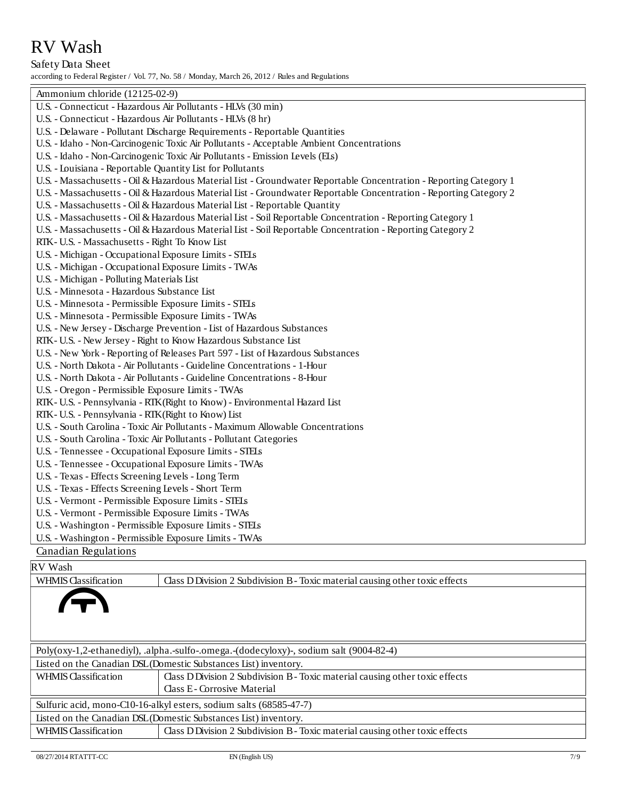Safety Data Sheet according to Federal Register / Vol. 77, No. 58 / Monday, March 26, 2012 / Rules and Regulations

| Ammonium chloride (12125-02-9)                                                                                     |
|--------------------------------------------------------------------------------------------------------------------|
| U.S. - Connecticut - Hazardous Air Pollutants - HLVs (30 min)                                                      |
| U.S. - Connecticut - Hazardous Air Pollutants - HLVs (8 hr)                                                        |
| U.S. - Delaware - Pollutant Discharge Requirements - Reportable Quantities                                         |
| U.S. - Idaho - Non-Carcinogenic Toxic Air Pollutants - Acceptable Ambient Concentrations                           |
| U.S. - Idaho - Non-Carcinogenic Toxic Air Pollutants - Emission Levels (ELs)                                       |
| U.S. - Louisiana - Reportable Quantity List for Pollutants                                                         |
| U.S. - Massachusetts - Oil & Hazardous Material List - Groundwater Reportable Concentration - Reporting Category 1 |
| U.S. - Massachusetts - Oil & Hazardous Material List - Groundwater Reportable Concentration - Reporting Category 2 |
| U.S. - Massachusetts - Oil & Hazardous Material List - Reportable Quantity                                         |
| U.S. - Massachusetts - Oil & Hazardous Material List - Soil Reportable Concentration - Reporting Category 1        |
| U.S. - Massachusetts - Oil & Hazardous Material List - Soil Reportable Concentration - Reporting Category 2        |
| RTK-U.S. - Massachusetts - Right To Know List                                                                      |
| U.S. - Michigan - Occupational Exposure Limits - STELs                                                             |
| U.S. - Michigan - Occupational Exposure Limits - TWAs                                                              |
| U.S. - Michigan - Polluting Materials List                                                                         |
| U.S. - Minnesota - Hazardous Substance List                                                                        |
| U.S. - Minnesota - Permissible Exposure Limits - STELs                                                             |
| U.S. - Minnesota - Permissible Exposure Limits - TWAs                                                              |
| U.S. - New Jersey - Discharge Prevention - List of Hazardous Substances                                            |
| RTK- U.S. - New Jersey - Right to Know Hazardous Substance List                                                    |
| U.S. - New York - Reporting of Releases Part 597 - List of Hazardous Substances                                    |
| U.S. - North Dakota - Air Pollutants - Guideline Concentrations - 1-Hour                                           |
| U.S. - North Dakota - Air Pollutants - Guideline Concentrations - 8-Hour                                           |
| U.S. - Oregon - Permissible Exposure Limits - TWAs                                                                 |
| RTK- U.S. - Pennsylvania - RTK (Right to Know) - Environmental Hazard List                                         |
| RTK- U.S. - Pennsylvania - RTK (Right to Know) List                                                                |
| U.S. - South Carolina - Toxic Air Pollutants - Maximum Allowable Concentrations                                    |
| U.S. - South Carolina - Toxic Air Pollutants - Pollutant Categories                                                |
| U.S. - Tennessee - Occupational Exposure Limits - STELs                                                            |
| U.S. - Tennessee - Occupational Exposure Limits - TWAs                                                             |
| U.S. - Texas - Effects Screening Levels - Long Term                                                                |
| U.S. - Texas - Effects Screening Levels - Short Term                                                               |
| U.S. - Vermont - Permissible Exposure Limits - STELs                                                               |
| U.S. - Vermont - Permissible Exposure Limits - TWAs                                                                |
| U.S. - Washington - Permissible Exposure Limits - STELs                                                            |
| U.S. - Washington - Permissible Exposure Limits - TWAs                                                             |
| Canadian Regulations                                                                                               |

### RV Wash

WHMIS Classification Class D Division 2 Subdivision B - Toxic material causing other toxic effects

| Poly(oxy-1,2-ethanediyl), .alpha.-sulfo-.omega.-(dodecyloxy)-, sodium salt (9004-82-4) |                                                                               |  |  |  |
|----------------------------------------------------------------------------------------|-------------------------------------------------------------------------------|--|--|--|
| Listed on the Canadian DSL (Domestic Substances List) inventory.                       |                                                                               |  |  |  |
| <b>WHMIS Classification</b>                                                            | Class D Division 2 Subdivision B - Toxic material causing other toxic effects |  |  |  |
|                                                                                        | Class E-Corrosive Material                                                    |  |  |  |
| Sulfuric acid, mono-C10-16-alkyl esters, sodium salts (68585-47-7)                     |                                                                               |  |  |  |
| Listed on the Canadian DSL (Domestic Substances List) inventory.                       |                                                                               |  |  |  |
| WHMIS Classification                                                                   | Class D Division 2 Subdivision B - Toxic material causing other toxic effects |  |  |  |
|                                                                                        |                                                                               |  |  |  |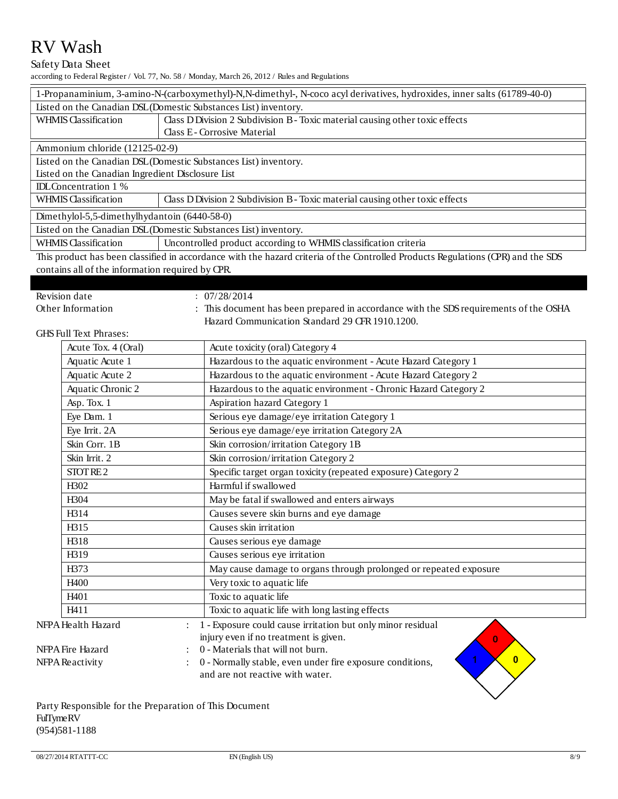#### Safety Data Sheet

according to Federal Register / Vol. 77, No. 58 / Monday, March 26, 2012 / Rules and Regulations

| 1-Propanaminium, 3-amino-N-(carboxymethyl)-N,N-dimethyl-, N-coco acyl derivatives, hydroxides, inner salts (61789-40-0)          |                                                                               |  |  |
|----------------------------------------------------------------------------------------------------------------------------------|-------------------------------------------------------------------------------|--|--|
| Listed on the Canadian DSL (Domestic Substances List) inventory.                                                                 |                                                                               |  |  |
| <b>WHMIS Classification</b>                                                                                                      | Class D Division 2 Subdivision B - Toxic material causing other toxic effects |  |  |
|                                                                                                                                  | Class E-Corrosive Material                                                    |  |  |
| Ammonium chloride (12125-02-9)                                                                                                   |                                                                               |  |  |
| Listed on the Canadian DSL (Domestic Substances List) inventory.                                                                 |                                                                               |  |  |
| Listed on the Canadian Ingredient Disclosure List                                                                                |                                                                               |  |  |
| <b>IDL</b> Concentration 1 %                                                                                                     |                                                                               |  |  |
| Class D Division 2 Subdivision B - Toxic material causing other toxic effects<br><b>WHMIS Classification</b>                     |                                                                               |  |  |
| Dimethylol-5,5-dimethylhydantoin (6440-58-0)                                                                                     |                                                                               |  |  |
| Listed on the Canadian DSL (Domestic Substances List) inventory.                                                                 |                                                                               |  |  |
| <b>WHMIS Classification</b>                                                                                                      | Uncontrolled product according to WHMIS classification criteria               |  |  |
| This product has been classified in accordance with the hazard criteria of the Controlled Products Regulations (CPR) and the SDS |                                                                               |  |  |

contains all of the information required by CPR.

| Revision date |  |
|---------------|--|
|               |  |

 $: \frac{1}{07}{\sqrt{28}}{2014}$ 

Other Information : This document has been prepared in accordance with the SDS requirements of the OSHA Hazard Communication Standard 29 CFR 1910.1200.

GHS Full Text Phrases:

|                    | Acute Tox. 4 (Oral) | Acute toxicity (oral) Category 4                                  |
|--------------------|---------------------|-------------------------------------------------------------------|
|                    | Aquatic Acute 1     | Hazardous to the aquatic environment - Acute Hazard Category 1    |
|                    | Aquatic Acute 2     | Hazardous to the aquatic environment - Acute Hazard Category 2    |
|                    | Aquatic Chronic 2   | Hazardous to the aquatic environment - Chronic Hazard Category 2  |
|                    | Asp. Tox. 1         | Aspiration hazard Category 1                                      |
|                    | Eye Dam. 1          | Serious eye damage/eye irritation Category 1                      |
|                    | Eye Irrit. 2A       | Serious eye damage/eye irritation Category 2A                     |
|                    | Skin Corr. 1B       | Skin corrosion/irritation Category 1B                             |
|                    | Skin Irrit. 2       | Skin corrosion/irritation Category 2                              |
|                    | STOT RE2            | Specific target organ toxicity (repeated exposure) Category 2     |
|                    | H <sub>3</sub> 02   | Harmful if swallowed                                              |
|                    | H304                | May be fatal if swallowed and enters airways                      |
|                    | H314                | Causes severe skin burns and eye damage                           |
|                    | H315                | Causes skin irritation                                            |
|                    | H318                | Causes serious eye damage                                         |
|                    | H319                | Causes serious eye irritation                                     |
|                    | H373                | May cause damage to organs through prolonged or repeated exposure |
|                    | H400                | Very toxic to aquatic life                                        |
|                    | H <sub>401</sub>    | Toxic to aquatic life                                             |
|                    | H411                | Toxic to aquatic life with long lasting effects                   |
| NFPA Health Hazard |                     | 1 - Exposure could cause irritation but only minor residual       |
|                    |                     | injury even if no treatment is given.<br>$\mathbf{0}$             |
| NFPA Fire Hazard   |                     | 0 - Materials that will not burn.<br>$\overline{0}$               |
| NFPA Reactivity    |                     | 0 - Normally stable, even under fire exposure conditions,         |
|                    |                     | and are not reactive with water.                                  |

Party Responsible for the Preparation of This Document FulTyme RV (954)581-1188